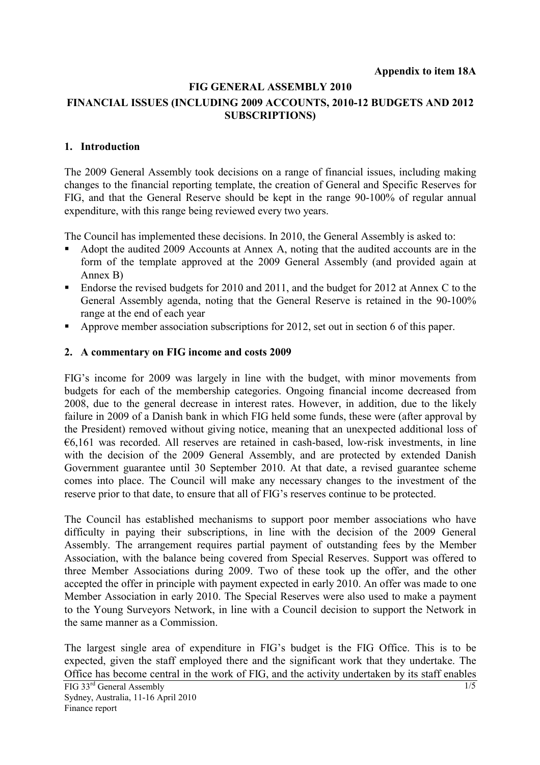# **FIG GENERAL ASSEMBLY 2010 FINANCIAL ISSUES (INCLUDING 2009 ACCOUNTS, 2010-12 BUDGETS AND 2012 SUBSCRIPTIONS)**

## **1. Introduction**

The 2009 General Assembly took decisions on a range of financial issues, including making changes to the financial reporting template, the creation of General and Specific Reserves for FIG, and that the General Reserve should be kept in the range 90-100% of regular annual expenditure, with this range being reviewed every two years.

The Council has implemented these decisions. In 2010, the General Assembly is asked to:

- Adopt the audited 2009 Accounts at Annex A, noting that the audited accounts are in the form of the template approved at the 2009 General Assembly (and provided again at Annex B)
- Endorse the revised budgets for 2010 and 2011, and the budget for 2012 at Annex C to the General Assembly agenda, noting that the General Reserve is retained in the 90-100% range at the end of each year
- Approve member association subscriptions for 2012, set out in section 6 of this paper.

### **2. A commentary on FIG income and costs 2009**

FIG's income for 2009 was largely in line with the budget, with minor movements from budgets for each of the membership categories. Ongoing financial income decreased from 2008, due to the general decrease in interest rates. However, in addition, due to the likely failure in 2009 of a Danish bank in which FIG held some funds, these were (after approval by the President) removed without giving notice, meaning that an unexpected additional loss of €6,161 was recorded. All reserves are retained in cash-based, low-risk investments, in line with the decision of the 2009 General Assembly, and are protected by extended Danish Government guarantee until 30 September 2010. At that date, a revised guarantee scheme comes into place. The Council will make any necessary changes to the investment of the reserve prior to that date, to ensure that all of FIG's reserves continue to be protected.

The Council has established mechanisms to support poor member associations who have difficulty in paying their subscriptions, in line with the decision of the 2009 General Assembly. The arrangement requires partial payment of outstanding fees by the Member Association, with the balance being covered from Special Reserves. Support was offered to three Member Associations during 2009. Two of these took up the offer, and the other accepted the offer in principle with payment expected in early 2010. An offer was made to one Member Association in early 2010. The Special Reserves were also used to make a payment to the Young Surveyors Network, in line with a Council decision to support the Network in the same manner as a Commission.

The largest single area of expenditure in FIG's budget is the FIG Office. This is to be expected, given the staff employed there and the significant work that they undertake. The Office has become central in the work of FIG, and the activity undertaken by its staff enables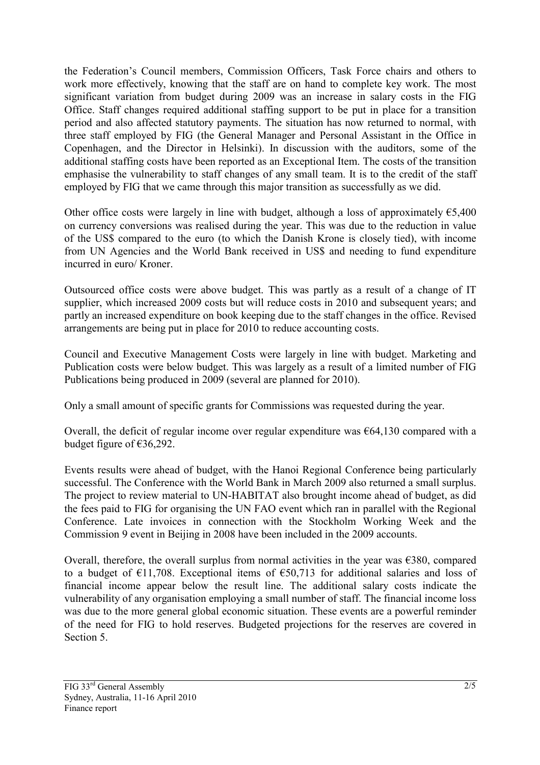the Federation's Council members, Commission Officers, Task Force chairs and others to work more effectively, knowing that the staff are on hand to complete key work. The most significant variation from budget during 2009 was an increase in salary costs in the FIG Office. Staff changes required additional staffing support to be put in place for a transition period and also affected statutory payments. The situation has now returned to normal, with three staff employed by FIG (the General Manager and Personal Assistant in the Office in Copenhagen, and the Director in Helsinki). In discussion with the auditors, some of the additional staffing costs have been reported as an Exceptional Item. The costs of the transition emphasise the vulnerability to staff changes of any small team. It is to the credit of the staff employed by FIG that we came through this major transition as successfully as we did.

Other office costs were largely in line with budget, although a loss of approximately  $\epsilon$ 5,400 on currency conversions was realised during the year. This was due to the reduction in value of the US\$ compared to the euro (to which the Danish Krone is closely tied), with income from UN Agencies and the World Bank received in US\$ and needing to fund expenditure incurred in euro/ Kroner.

Outsourced office costs were above budget. This was partly as a result of a change of IT supplier, which increased 2009 costs but will reduce costs in 2010 and subsequent years; and partly an increased expenditure on book keeping due to the staff changes in the office. Revised arrangements are being put in place for 2010 to reduce accounting costs.

Council and Executive Management Costs were largely in line with budget. Marketing and Publication costs were below budget. This was largely as a result of a limited number of FIG Publications being produced in 2009 (several are planned for 2010).

Only a small amount of specific grants for Commissions was requested during the year.

Overall, the deficit of regular income over regular expenditure was  $\epsilon$ 64,130 compared with a budget figure of €36,292.

Events results were ahead of budget, with the Hanoi Regional Conference being particularly successful. The Conference with the World Bank in March 2009 also returned a small surplus. The project to review material to UN-HABITAT also brought income ahead of budget, as did the fees paid to FIG for organising the UN FAO event which ran in parallel with the Regional Conference. Late invoices in connection with the Stockholm Working Week and the Commission 9 event in Beijing in 2008 have been included in the 2009 accounts.

Overall, therefore, the overall surplus from normal activities in the year was  $\epsilon$ 380, compared to a budget of  $E11,708$ . Exceptional items of  $E50,713$  for additional salaries and loss of financial income appear below the result line. The additional salary costs indicate the vulnerability of any organisation employing a small number of staff. The financial income loss was due to the more general global economic situation. These events are a powerful reminder of the need for FIG to hold reserves. Budgeted projections for the reserves are covered in Section 5.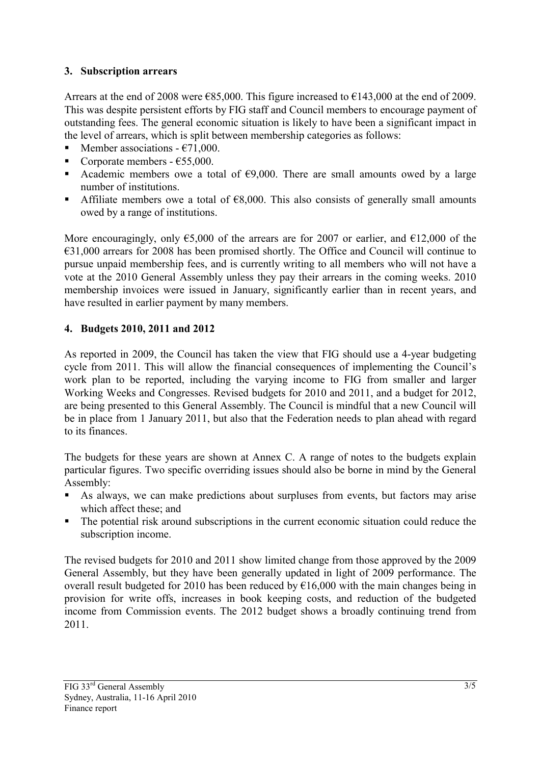# **3. Subscription arrears**

Arrears at the end of 2008 were  $\epsilon$ 85,000. This figure increased to  $\epsilon$ 143,000 at the end of 2009. This was despite persistent efforts by FIG staff and Council members to encourage payment of outstanding fees. The general economic situation is likely to have been a significant impact in the level of arrears, which is split between membership categories as follows:

- Member associations  $E$ 71,000.
- Corporate members €55,000.
- Academic members owe a total of  $\epsilon$ 9,000. There are small amounts owed by a large number of institutions.
- Affiliate members owe a total of  $E8,000$ . This also consists of generally small amounts owed by a range of institutions.

More encouragingly, only  $\epsilon$ 5,000 of the arrears are for 2007 or earlier, and  $\epsilon$ 12,000 of the €31,000 arrears for 2008 has been promised shortly. The Office and Council will continue to pursue unpaid membership fees, and is currently writing to all members who will not have a vote at the 2010 General Assembly unless they pay their arrears in the coming weeks. 2010 membership invoices were issued in January, significantly earlier than in recent years, and have resulted in earlier payment by many members.

# **4. Budgets 2010, 2011 and 2012**

As reported in 2009, the Council has taken the view that FIG should use a 4-year budgeting cycle from 2011. This will allow the financial consequences of implementing the Council's work plan to be reported, including the varying income to FIG from smaller and larger Working Weeks and Congresses. Revised budgets for 2010 and 2011, and a budget for 2012, are being presented to this General Assembly. The Council is mindful that a new Council will be in place from 1 January 2011, but also that the Federation needs to plan ahead with regard to its finances.

The budgets for these years are shown at Annex C. A range of notes to the budgets explain particular figures. Two specific overriding issues should also be borne in mind by the General Assembly:

- As always, we can make predictions about surpluses from events, but factors may arise which affect these; and
- The potential risk around subscriptions in the current economic situation could reduce the subscription income.

The revised budgets for 2010 and 2011 show limited change from those approved by the 2009 General Assembly, but they have been generally updated in light of 2009 performance. The overall result budgeted for 2010 has been reduced by  $\epsilon$ 16,000 with the main changes being in provision for write offs, increases in book keeping costs, and reduction of the budgeted income from Commission events. The 2012 budget shows a broadly continuing trend from 2011.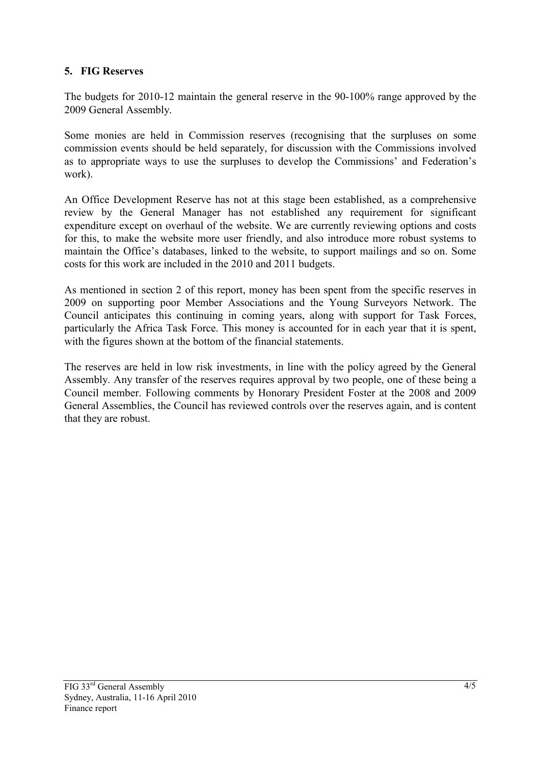## **5. FIG Reserves**

The budgets for 2010-12 maintain the general reserve in the 90-100% range approved by the 2009 General Assembly.

Some monies are held in Commission reserves (recognising that the surpluses on some commission events should be held separately, for discussion with the Commissions involved as to appropriate ways to use the surpluses to develop the Commissions' and Federation's work).

An Office Development Reserve has not at this stage been established, as a comprehensive review by the General Manager has not established any requirement for significant expenditure except on overhaul of the website. We are currently reviewing options and costs for this, to make the website more user friendly, and also introduce more robust systems to maintain the Office's databases, linked to the website, to support mailings and so on. Some costs for this work are included in the 2010 and 2011 budgets.

As mentioned in section 2 of this report, money has been spent from the specific reserves in 2009 on supporting poor Member Associations and the Young Surveyors Network. The Council anticipates this continuing in coming years, along with support for Task Forces, particularly the Africa Task Force. This money is accounted for in each year that it is spent, with the figures shown at the bottom of the financial statements.

The reserves are held in low risk investments, in line with the policy agreed by the General Assembly. Any transfer of the reserves requires approval by two people, one of these being a Council member. Following comments by Honorary President Foster at the 2008 and 2009 General Assemblies, the Council has reviewed controls over the reserves again, and is content that they are robust.